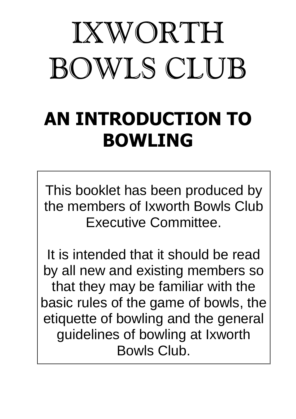# IXWORTH BOWLS CLUB

# AN INTRODUCTION TO BOWLING

This booklet has been produced by the members of Ixworth Bowls Club Executive Committee.

It is intended that it should be read by all new and existing members so that they may be familiar with the basic rules of the game of bowls, the etiquette of bowling and the general guidelines of bowling at Ixworth Bowls Club.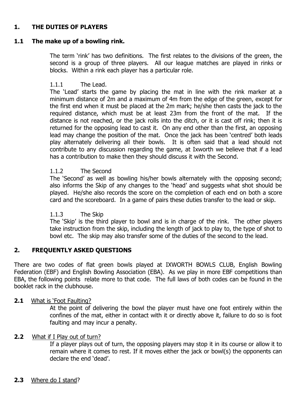# 1. THE DUTIES OF PLAYERS

### 1.1 The make up of a bowling rink.

The term 'rink' has two definitions. The first relates to the divisions of the green, the second is a group of three players. All our league matches are played in rinks or blocks. Within a rink each player has a particular role.

#### 1.1.1 The Lead.

The 'Lead' starts the game by placing the mat in line with the rink marker at a minimum distance of 2m and a maximum of 4m from the edge of the green, except for the first end when it must be placed at the 2m mark; he/she then casts the jack to the required distance, which must be at least 23m from the front of the mat. If the distance is not reached, or the jack rolls into the ditch, or it is cast off rink; then it is returned for the opposing lead to cast it. On any end other than the first, an opposing lead may change the position of the mat. Once the jack has been 'centred' both leads play alternately delivering all their bowls. It is often said that a lead should not contribute to any discussion regarding the game, at Ixworth we believe that if a lead has a contribution to make then they should discuss it with the Second.

#### 1.1.2 The Second

The 'Second' as well as bowling his/her bowls alternately with the opposing second; also informs the Skip of any changes to the 'head' and suggests what shot should be played. He/she also records the score on the completion of each end on both a score card and the scoreboard. In a game of pairs these duties transfer to the lead or skip.

#### 1.1.3 The Skip

The 'Skip' is the third player to bowl and is in charge of the rink. The other players take instruction from the skip, including the length of jack to play to, the type of shot to bowl etc. The skip may also transfer some of the duties of the second to the lead.

# 2. FREQUENTLY ASKED QUESTIONS

There are two codes of flat green bowls played at IXWORTH BOWLS CLUB, English Bowling Federation (EBF) and English Bowling Association (EBA). As we play in more EBF competitions than EBA, the following points relate more to that code. The full laws of both codes can be found in the booklet rack in the clubhouse.

#### 2.1 What is 'Foot Faulting?

At the point of delivering the bowl the player must have one foot entirely within the confines of the mat, either in contact with it or directly above it, failure to do so is foot faulting and may incur a penalty.

#### 2.2 What if I Play out of turn?

If a player plays out of turn, the opposing players may stop it in its course or allow it to remain where it comes to rest. If it moves either the jack or bowl(s) the opponents can declare the end 'dead'.

#### 2.3 Where do I stand?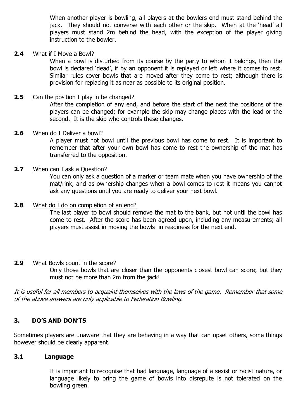When another player is bowling, all players at the bowlers end must stand behind the jack. They should not converse with each other or the skip. When at the 'head' all players must stand 2m behind the head, with the exception of the player giving instruction to the bowler.

#### 2.4 What if I Move a Bowl?

When a bowl is disturbed from its course by the party to whom it belongs, then the bowl is declared 'dead', if by an opponent it is replayed or left where it comes to rest. Similar rules cover bowls that are moved after they come to rest; although there is provision for replacing it as near as possible to its original position.

# **2.5** Can the position I play in be changed?

After the completion of any end, and before the start of the next the positions of the players can be changed; for example the skip may change places with the lead or the second. It is the skip who controls these changes.

#### 2.6 When do I Deliver a bowl?

A player must not bowl until the previous bowl has come to rest. It is important to remember that after your own bowl has come to rest the ownership of the mat has transferred to the opposition.

#### 2.7 When can I ask a Question?

You can only ask a question of a marker or team mate when you have ownership of the mat/rink, and as ownership changes when a bowl comes to rest it means you cannot ask any questions until you are ready to deliver your next bowl.

#### 2.8 What do I do on completion of an end?

The last player to bowl should remove the mat to the bank, but not until the bowl has come to rest. After the score has been agreed upon, including any measurements; all players must assist in moving the bowls in readiness for the next end.

#### **2.9** What Bowls count in the score?

Only those bowls that are closer than the opponents closest bowl can score; but they must not be more than 2m from the jack!

It is useful for all members to acquaint themselves with the laws of the game. Remember that some of the above answers are only applicable to Federation Bowling.

# 3. DO'S AND DON'TS

Sometimes players are unaware that they are behaving in a way that can upset others, some things however should be clearly apparent.

# 3.1 Language

It is important to recognise that bad language, language of a sexist or racist nature, or language likely to bring the game of bowls into disrepute is not tolerated on the bowling green.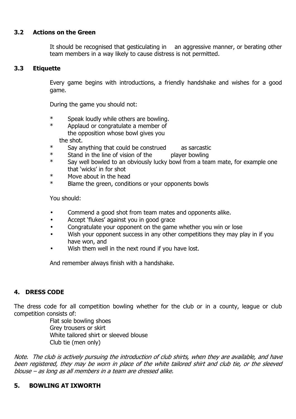# 3.2 Actions on the Green

It should be recognised that gesticulating in an aggressive manner, or berating other team members in a way likely to cause distress is not permitted.

# 3.3 Etiquette

Every game begins with introductions, a friendly handshake and wishes for a good game.

During the game you should not:

- \* Speak loudly while others are bowling.
- Applaud or congratulate a member of the opposition whose bowl gives you the shot.
- \* Say anything that could be construed as sarcastic
- \* Stand in the line of vision of the player bowling<br> $*$  Say well bowled to an obviously lucky bowl from a tea
- Say well bowled to an obviously lucky bowl from a team mate, for example one that 'wicks' in for shot
- \* Move about in the head
- \* Blame the green, conditions or your opponents bowls

You should:

- Commend a good shot from team mates and opponents alike.
- Accept 'flukes' against you in good grace
- Congratulate your opponent on the game whether you win or lose
- Wish your opponent success in any other competitions they may play in if you have won, and
- Wish them well in the next round if you have lost.

And remember always finish with a handshake.

# 4. DRESS CODE

The dress code for all competition bowling whether for the club or in a county, league or club competition consists of:

> Flat sole bowling shoes Grey trousers or skirt White tailored shirt or sleeved blouse Club tie (men only)

Note. The club is actively pursuing the introduction of club shirts, when they are available, and have been registered, they may be worn in place of the white tailored shirt and club tie, or the sleeved blouse – as long as all members in a team are dressed alike.

### 5. BOWLING AT IXWORTH